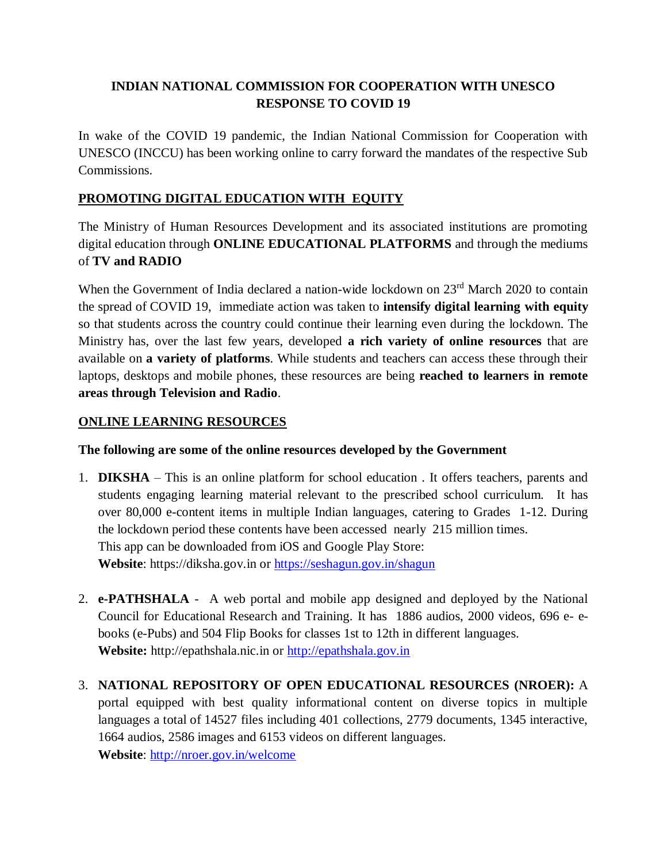# **INDIAN NATIONAL COMMISSION FOR COOPERATION WITH UNESCO RESPONSE TO COVID 19**

In wake of the COVID 19 pandemic, the Indian National Commission for Cooperation with UNESCO (INCCU) has been working online to carry forward the mandates of the respective Sub Commissions.

# **PROMOTING DIGITAL EDUCATION WITH EQUITY**

The Ministry of Human Resources Development and its associated institutions are promoting digital education through **ONLINE EDUCATIONAL PLATFORMS** and through the mediums of **TV and RADIO**

When the Government of India declared a nation-wide lockdown on 23<sup>rd</sup> March 2020 to contain the spread of COVID 19, immediate action was taken to **intensify digital learning with equity**  so that students across the country could continue their learning even during the lockdown. The Ministry has, over the last few years, developed **a rich variety of online resources** that are available on **a variety of platforms**. While students and teachers can access these through their laptops, desktops and mobile phones, these resources are being **reached to learners in remote areas through Television and Radio**.

## **ONLINE LEARNING RESOURCES**

## **The following are some of the online resources developed by the Government**

- 1. **DIKSHA** This is an online platform for school education . It offers teachers, parents and students engaging learning material relevant to the prescribed school curriculum. It has over 80,000 e-content items in multiple Indian languages, catering to Grades 1-12. During the lockdown period these contents have been accessed nearly 215 million times. This app can be downloaded from iOS and Google Play Store: **Website**: https://diksha.gov.in or<https://seshagun.gov.in/shagun>
- 2. **e-PATHSHALA** A web portal and mobile app designed and deployed by the National Council for Educational Research and Training. It has 1886 audios, 2000 videos, 696 e- ebooks (e-Pubs) and 504 Flip Books for classes 1st to 12th in different languages. **Website:** http://epathshala.nic.in or [http://epathshala.gov.in](http://epathshala.gov.in/)
- 3. **NATIONAL REPOSITORY OF OPEN EDUCATIONAL RESOURCES (NROER):** A portal equipped with best quality informational content on diverse topics in multiple languages a total of 14527 files including 401 collections, 2779 documents, 1345 interactive, 1664 audios, 2586 images and 6153 videos on different languages. **Website**:<http://nroer.gov.in/welcome>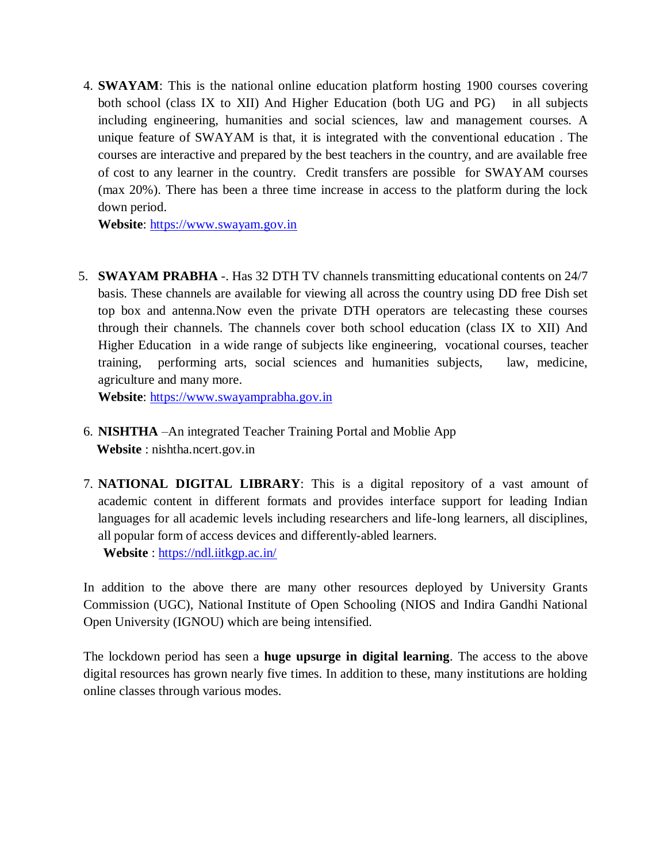4. **SWAYAM**: This is the national online education platform hosting 1900 courses covering both school (class IX to XII) And Higher Education (both UG and PG) in all subjects including engineering, humanities and social sciences, law and management courses. A unique feature of SWAYAM is that, it is integrated with the conventional education . The courses are interactive and prepared by the best teachers in the country, and are available free of cost to any learner in the country. Credit transfers are possible for SWAYAM courses (max 20%). There has been a three time increase in access to the platform during the lock down period.

**Website**: [https://www.swayam.gov.in](https://www.swayam.gov.in/)

5. **SWAYAM PRABHA** -. Has 32 DTH TV channels transmitting educational contents on 24/7 basis. These channels are available for viewing all across the country using DD free Dish set top box and antenna.Now even the private DTH operators are telecasting these courses through their channels. The channels cover both school education (class IX to XII) And Higher Education in a wide range of subjects like engineering, vocational courses, teacher training, performing arts, social sciences and humanities subjects, law, medicine, agriculture and many more.

**Website**: [https://www.swayamprabha.gov.in](https://www.swayamprabha.gov.in/)

- 6. **NISHTHA** –An integrated Teacher Training Portal and Moblie App  **Website** : nishtha.ncert.gov.in
- 7. **NATIONAL DIGITAL LIBRARY**: This is a digital repository of a vast amount of academic content in different formats and provides interface support for leading Indian languages for all academic levels including researchers and life-long learners, all disciplines, all popular form of access devices and differently-abled learners.  **Website** :<https://ndl.iitkgp.ac.in/>

In addition to the above there are many other resources deployed by University Grants Commission (UGC), National Institute of Open Schooling (NIOS and Indira Gandhi National Open University (IGNOU) which are being intensified.

The lockdown period has seen a **huge upsurge in digital learning**. The access to the above digital resources has grown nearly five times. In addition to these, many institutions are holding online classes through various modes.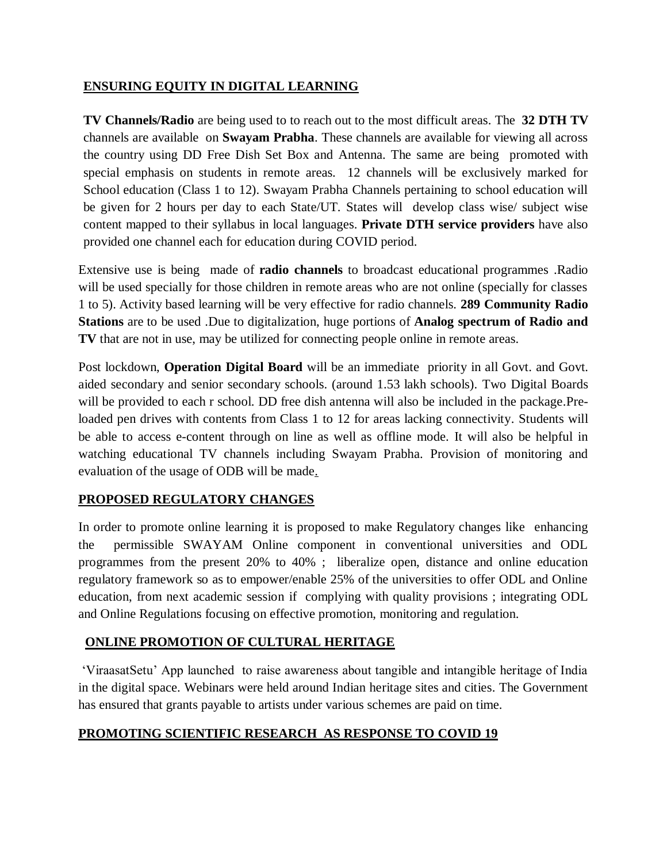### **ENSURING EQUITY IN DIGITAL LEARNING**

**TV Channels/Radio** are being used to to reach out to the most difficult areas. The **32 DTH TV** channels are available on **Swayam Prabha**. These channels are available for viewing all across the country using DD Free Dish Set Box and Antenna. The same are being promoted with special emphasis on students in remote areas. 12 channels will be exclusively marked for School education (Class 1 to 12). Swayam Prabha Channels pertaining to school education will be given for 2 hours per day to each State/UT. States will develop class wise/ subject wise content mapped to their syllabus in local languages. **Private DTH service providers** have also provided one channel each for education during COVID period.

Extensive use is being made of **radio channels** to broadcast educational programmes .Radio will be used specially for those children in remote areas who are not online (specially for classes 1 to 5). Activity based learning will be very effective for radio channels. **289 Community Radio Stations** are to be used .Due to digitalization, huge portions of **Analog spectrum of Radio and TV** that are not in use, may be utilized for connecting people online in remote areas.

Post lockdown, **Operation Digital Board** will be an immediate priority in all Govt. and Govt. aided secondary and senior secondary schools. (around 1.53 lakh schools). Two Digital Boards will be provided to each r school. DD free dish antenna will also be included in the package.Preloaded pen drives with contents from Class 1 to 12 for areas lacking connectivity. Students will be able to access e-content through on line as well as offline mode. It will also be helpful in watching educational TV channels including Swayam Prabha. Provision of monitoring and evaluation of the usage of ODB will be made.

### **PROPOSED REGULATORY CHANGES**

In order to promote online learning it is proposed to make Regulatory changes like enhancing the permissible SWAYAM Online component in conventional universities and ODL programmes from the present 20% to 40% ; liberalize open, distance and online education regulatory framework so as to empower/enable 25% of the universities to offer ODL and Online education, from next academic session if complying with quality provisions ; integrating ODL and Online Regulations focusing on effective promotion, monitoring and regulation.

## **ONLINE PROMOTION OF CULTURAL HERITAGE**

'ViraasatSetu' App launched to raise awareness about tangible and intangible heritage of India in the digital space. Webinars were held around Indian heritage sites and cities. The Government has ensured that grants payable to artists under various schemes are paid on time.

## **PROMOTING SCIENTIFIC RESEARCH AS RESPONSE TO COVID 19**